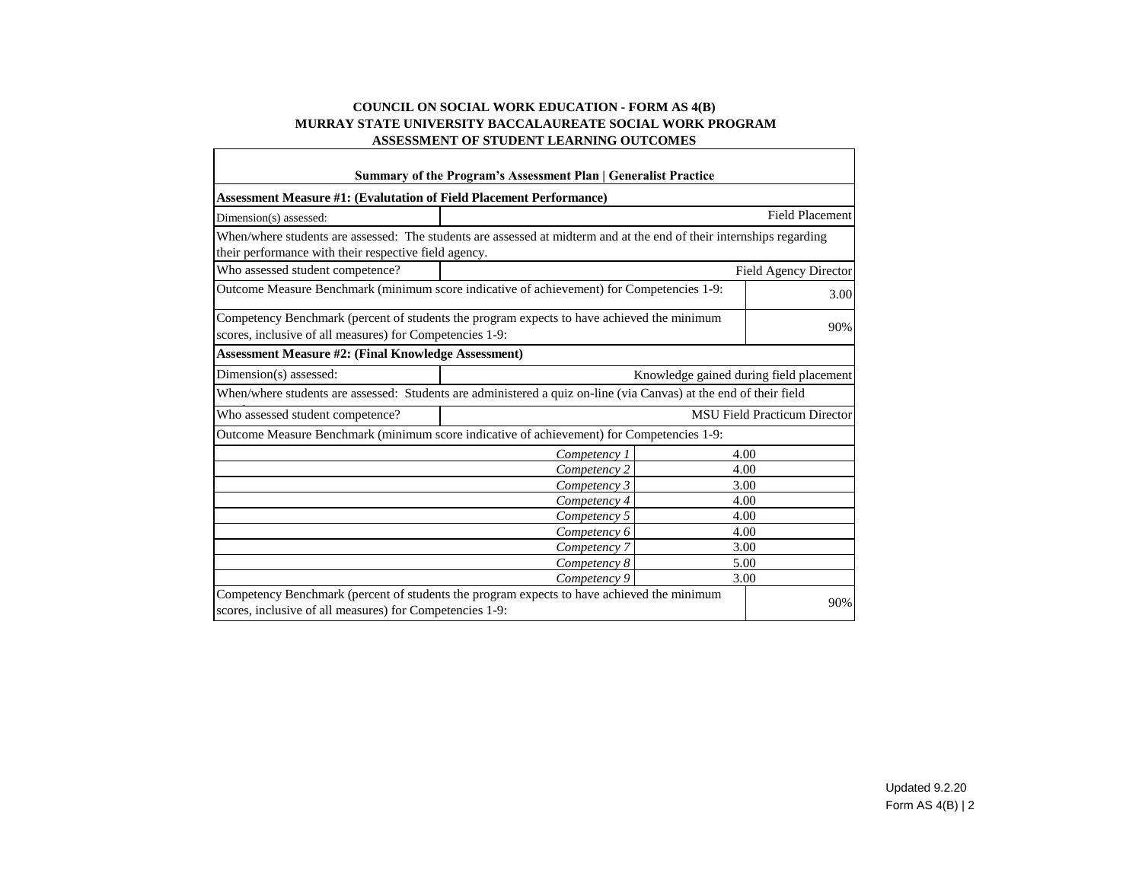## **COUNCIL ON SOCIAL WORK EDUCATION - FORM AS 4(B) MURRAY STATE UNIVERSITY BACCALAUREATE SOCIAL WORK PROGRAM ASSESSMENT OF STUDENT LEARNING OUTCOMES**

| Summary of the Program's Assessment Plan   Generalist Practice                                                                                                                |              |      |                       |  |  |  |  |  |  |  |
|-------------------------------------------------------------------------------------------------------------------------------------------------------------------------------|--------------|------|-----------------------|--|--|--|--|--|--|--|
| <b>Assessment Measure #1: (Evalutation of Field Placement Performance)</b>                                                                                                    |              |      |                       |  |  |  |  |  |  |  |
| <b>Field Placement</b><br>Dimension(s) assessed:                                                                                                                              |              |      |                       |  |  |  |  |  |  |  |
| When/where students are assessed: The students are assessed at midterm and at the end of their internships regarding<br>their performance with their respective field agency. |              |      |                       |  |  |  |  |  |  |  |
| Who assessed student competence?                                                                                                                                              |              |      | Field Agency Director |  |  |  |  |  |  |  |
| Outcome Measure Benchmark (minimum score indicative of achievement) for Competencies 1-9:<br>3.00                                                                             |              |      |                       |  |  |  |  |  |  |  |
| Competency Benchmark (percent of students the program expects to have achieved the minimum<br>scores, inclusive of all measures) for Competencies 1-9:                        |              |      |                       |  |  |  |  |  |  |  |
| <b>Assessment Measure #2: (Final Knowledge Assessment)</b>                                                                                                                    |              |      |                       |  |  |  |  |  |  |  |
| Dimension(s) assessed:<br>Knowledge gained during field placement                                                                                                             |              |      |                       |  |  |  |  |  |  |  |
| When/where students are assessed: Students are administered a quiz on-line (via Canvas) at the end of their field                                                             |              |      |                       |  |  |  |  |  |  |  |
| <b>MSU Field Practicum Director</b><br>Who assessed student competence?                                                                                                       |              |      |                       |  |  |  |  |  |  |  |
| Outcome Measure Benchmark (minimum score indicative of achievement) for Competencies 1-9:                                                                                     |              |      |                       |  |  |  |  |  |  |  |
|                                                                                                                                                                               | Competency 1 | 4.00 |                       |  |  |  |  |  |  |  |
|                                                                                                                                                                               | Competency 2 | 4.00 |                       |  |  |  |  |  |  |  |
| 3.00<br>Competency 3                                                                                                                                                          |              |      |                       |  |  |  |  |  |  |  |
| Competency 4<br>4.00                                                                                                                                                          |              |      |                       |  |  |  |  |  |  |  |
| 4.00<br>Competency 5                                                                                                                                                          |              |      |                       |  |  |  |  |  |  |  |
| 4.00<br>Competency 6                                                                                                                                                          |              |      |                       |  |  |  |  |  |  |  |
| Competency 7<br>3.00                                                                                                                                                          |              |      |                       |  |  |  |  |  |  |  |
| 5.00<br>Competency 8                                                                                                                                                          |              |      |                       |  |  |  |  |  |  |  |
| Competency 9<br>3.00                                                                                                                                                          |              |      |                       |  |  |  |  |  |  |  |
| Competency Benchmark (percent of students the program expects to have achieved the minimum<br>scores, inclusive of all measures) for Competencies 1-9:                        |              |      | 90%                   |  |  |  |  |  |  |  |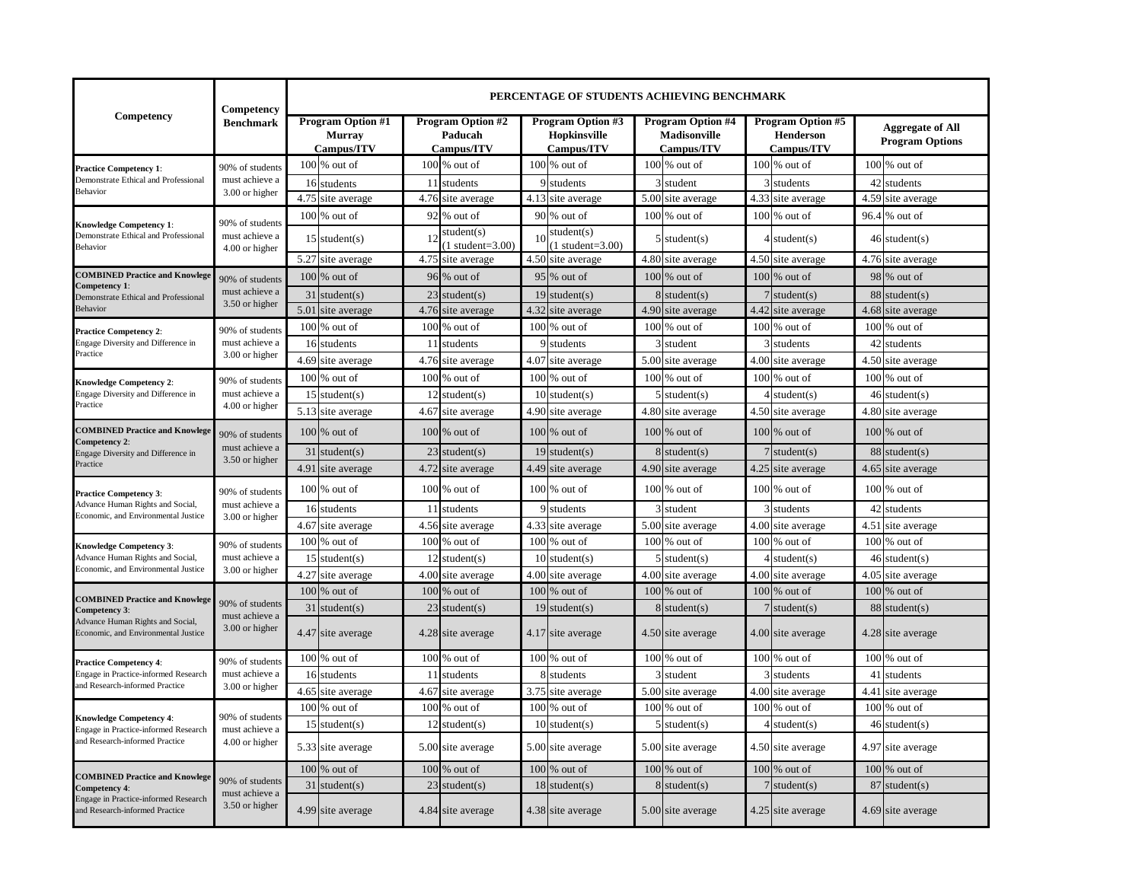|                                                                                                          | Competency                                          | PERCENTAGE OF STUDENTS ACHIEVING BENCHMARK                                                                          |      |                                                               |      |                                                                      |              |                   |                                                                   |                                                   |      |                   |
|----------------------------------------------------------------------------------------------------------|-----------------------------------------------------|---------------------------------------------------------------------------------------------------------------------|------|---------------------------------------------------------------|------|----------------------------------------------------------------------|--------------|-------------------|-------------------------------------------------------------------|---------------------------------------------------|------|-------------------|
| Competency                                                                                               | <b>Benchmark</b>                                    | <b>Program Option #1</b><br>Program Option #2<br><b>Murray</b><br>Paducah<br><b>Campus/ITV</b><br><b>Campus/ITV</b> |      | <b>Program Option #3</b><br><b>Hopkinsville</b><br>Campus/ITV |      | <b>Program Option #4</b><br><b>Madisonville</b><br><b>Campus/ITV</b> |              |                   | <b>Program Option #5</b><br><b>Henderson</b><br><b>Campus/ITV</b> | <b>Aggregate of All</b><br><b>Program Options</b> |      |                   |
| <b>Practice Competency 1:</b>                                                                            | 90% of students                                     | $100\%$ out of                                                                                                      |      | $100\%$ out of                                                |      | $100\%$ out of                                                       |              | $100\%$ out of    |                                                                   | $100\%$ out of                                    |      | 100 % out of      |
| Demonstrate Ethical and Professional                                                                     | must achieve a                                      | 16 students                                                                                                         | 11   | students                                                      |      | 9 students                                                           | $\mathbf{3}$ | student           |                                                                   | 3 students                                        | 42   | students          |
| Behavior                                                                                                 | 3.00 or higher                                      | 4.75 site average                                                                                                   |      | 4.76 site average                                             |      | 4.13 site average                                                    | 5.00         | site average      |                                                                   | 4.33 site average                                 | 4.59 | site average      |
| <b>Knowledge Competency 1:</b>                                                                           | 90% of students                                     | $100\%$ out of                                                                                                      |      | 92 % out of                                                   |      | 90 % out of                                                          | 100          | % out of          |                                                                   | $100\%$ out of                                    | 96.4 | % out of          |
| Demonstrate Ethical and Professional<br>Behavior                                                         | must achieve a<br>4.00 or higher                    | $15$ student(s)                                                                                                     | 12   | student(s)<br>$1$ student= $3.00$ )                           | 10   | student(s)<br>$1$ student= $3.00$ )                                  | 5            | student(s)        |                                                                   | $4$ student(s)                                    | 461  | student(s)        |
|                                                                                                          |                                                     | 5.27 site average                                                                                                   |      | 4.75 site average                                             |      | 4.50 site average                                                    | 4.80         | site average      |                                                                   | 4.50 site average                                 | 4.76 | site average      |
| <b>COMBINED Practice and Knowlege</b><br>Competency 1:                                                   | 90% of students                                     | $100\%$ out of                                                                                                      |      | 96 % out of                                                   |      | 95 % out of                                                          | 100          | % out of          |                                                                   | $100\%$ out of                                    | 98   | % out of          |
| Demonstrate Ethical and Professional                                                                     | must achieve a                                      | 31<br>student(s)                                                                                                    |      | $23$ student(s)                                               |      | $19$ student(s)                                                      | 8            | student $(s)$     |                                                                   | $7$ student(s)                                    | 88   | student $(s)$     |
| <b>Behavior</b>                                                                                          | 3.50 or higher                                      | 5.01<br>site average                                                                                                |      | 4.76 site average                                             |      | 4.32 site average                                                    | 4.90         | site average      |                                                                   | 4.42 site average                                 | 4.68 | site average      |
| <b>Practice Competency 2:</b>                                                                            | 90% of students                                     | $100\%$ out of                                                                                                      |      | $100$ % out of                                                |      | $100\%$ out of                                                       |              | $100\%$ out of    |                                                                   | 100 % out of                                      |      | 100 % out of      |
| Engage Diversity and Difference in                                                                       | must achieve a                                      | 16<br>students                                                                                                      | 11   | students                                                      |      | students                                                             | 3            | student           |                                                                   | 3 students                                        | 42   | students          |
| Practice                                                                                                 | 3.00 or higher                                      | 4.69<br>site average                                                                                                | 4.76 | site average                                                  | 4.07 | site average                                                         | 5.00         | site average      |                                                                   | 4.00 site average                                 | 4.50 | site average      |
| <b>Knowledge Competency 2:</b>                                                                           | 90% of students<br>must achieve a<br>4.00 or higher | 100 % out of                                                                                                        |      | $100\%$ out of                                                |      | $100\%$ out of                                                       |              | $100\%$ out of    |                                                                   | 100 % out of                                      |      | $100\%$ out of    |
| Engage Diversity and Difference in<br>Practice                                                           |                                                     | 15 <sup>1</sup><br>student(s)                                                                                       | 12   | student(s)                                                    | 10   | student(s)                                                           | 5            | student(s)        | $\overline{4}$                                                    | student(s)                                        | 46   | student(s)        |
|                                                                                                          |                                                     | 5.13<br>site average                                                                                                | 4.67 | site average                                                  | 4.90 | site average                                                         | 4.80         | site average      |                                                                   | 4.50 site average                                 | 4.80 | site average      |
| <b>COMBINED Practice and Knowlege</b><br>Competency 2:<br>Engage Diversity and Difference in             | 90% of students<br>must achieve a<br>3.50 or higher | $100\%$ out of                                                                                                      |      | $100\%$ out of                                                |      | $100\%$ out of                                                       | 100          | % out of          |                                                                   | $100\%$ out of                                    | 100  | % out of          |
|                                                                                                          |                                                     | 31<br>student(s)                                                                                                    | 23   | student(s)                                                    | 19   | student(s)                                                           | 8            | student(s)        |                                                                   | student(s)                                        | 88   | student $(s)$     |
| Practice                                                                                                 |                                                     | 4.91<br>site average                                                                                                |      | 4.72 site average                                             |      | 4.49 site average                                                    | 4.90         | site average      |                                                                   | 4.25 site average                                 | 4.65 | site average      |
| <b>Practice Competency 3:</b><br>Advance Human Rights and Social,                                        | 90% of students<br>must achieve a<br>3.00 or higher | $100\%$ out of                                                                                                      |      | $100\%$ out of                                                |      | $100\%$ out of                                                       |              | $100\%$ out of    |                                                                   | $100\%$ out of                                    | 100  | % out of          |
| Economic, and Environmental Justice                                                                      |                                                     | 16 students                                                                                                         | 11   | students                                                      | 9    | students                                                             | Р            | student           |                                                                   | 3 students                                        | 42   | students          |
|                                                                                                          |                                                     | 4.67<br>site average                                                                                                |      | 4.56 site average                                             |      | 4.33 site average                                                    | 5.00         | site average      |                                                                   | 4.00 site average                                 | 4.51 | site average      |
| <b>Knowledge Competency 3:</b>                                                                           | 90% of students<br>must achieve a<br>3.00 or higher | 100<br>% out of                                                                                                     |      | $100\%$ out of                                                |      | $100\%$ out of                                                       | 100          | % out of          |                                                                   | $100\%$ out of                                    | 100  | % out of          |
| Advance Human Rights and Social,<br>Economic, and Environmental Justice                                  |                                                     | 15 <sup>I</sup><br>student(s)                                                                                       | 12   | student(s)                                                    |      | $10$ student(s)                                                      | 5            | student(s)        |                                                                   | $4 \times (s)$                                    | 46   | student(s)        |
|                                                                                                          |                                                     | 4.27 site average                                                                                                   |      | 4.00 site average                                             | 4.00 | site average                                                         | 4.00         | site average      |                                                                   | 4.00 site average                                 | 4.05 | site average      |
| <b>COMBINED Practice and Knowlege</b>                                                                    | 90% of students<br>must achieve a<br>3.00 or higher | 100<br>% out of                                                                                                     |      | $100\%$ out of                                                | 100  | % out of                                                             | 100          | % out of          |                                                                   | 100 % out of                                      | 100  | % out of          |
| Competency 3:                                                                                            |                                                     | 31<br>student(s)                                                                                                    | 23   | student(s)                                                    | 19   | student(s)                                                           | 8            | student(s)        |                                                                   | student(s)                                        | 88   | student(s)        |
| Advance Human Rights and Social,<br>Economic, and Environmental Justice                                  |                                                     | 4.47 site average                                                                                                   |      | 4.28 site average                                             |      | 4.17 site average                                                    |              | 4.50 site average |                                                                   | 4.00 site average                                 |      | 4.28 site average |
| <b>Practice Competency 4:</b>                                                                            | 90% of students                                     | $100\%$ out of                                                                                                      |      | $100\%$ out of                                                |      | $100\%$ out of                                                       |              | $100\%$ out of    |                                                                   | $100\%$ out of                                    |      | $100\%$ out of    |
| Engage in Practice-informed Research                                                                     | must achieve a                                      | 16<br>students                                                                                                      | 11   | students                                                      |      | 8 students                                                           | 3            | student           | $\overline{3}$                                                    | students                                          | 41   | tudents           |
| and Research-informed Practice                                                                           | 3.00 or higher                                      | 4.65<br>site average                                                                                                | 4.67 | site average                                                  |      | 3.75 site average                                                    | 5.00         | site average      | 4.00                                                              | site average                                      | 4.41 | site average      |
|                                                                                                          |                                                     | $100\%$ out of                                                                                                      |      | $100\%$ out of                                                |      | $100\%$ out of                                                       | 100          | % out of          |                                                                   | $100\%$ out of                                    | 100  | % out of          |
| <b>Knowledge Competency 4:</b><br>Engage in Practice-informed Research<br>and Research-informed Practice | 90% of students<br>must achieve a<br>4.00 or higher | $15$ student(s)                                                                                                     |      | $12$ student(s)                                               |      | $10$ student(s)                                                      |              | student(s)        |                                                                   | $4$ student(s)                                    | 46   | student(s)        |
|                                                                                                          |                                                     | 5.33 site average                                                                                                   |      | 5.00 site average                                             |      | 5.00 site average                                                    | 5.00         | site average      |                                                                   | 4.50 site average                                 | 4.97 | site average      |
| <b>COMBINED Practice and Knowlege</b>                                                                    |                                                     | $100\%$ out of                                                                                                      |      | 100 % out of                                                  |      | $100\%$ out of                                                       |              | $100\%$ out of    |                                                                   | $100\%$ out of                                    |      | $100\%$ out of    |
| Competency 4:                                                                                            | 90% of students                                     | $31$ student(s)                                                                                                     |      | $23$ student(s)                                               |      | $18$ student(s)                                                      |              | $8$ student(s)    |                                                                   | $7$ student(s)                                    | 87   | student(s)        |
| Engage in Practice-informed Research<br>and Research-informed Practice                                   | must achieve a<br>3.50 or higher                    | 4.99 site average                                                                                                   |      | 4.84 site average                                             |      | 4.38 site average                                                    |              | 5.00 site average |                                                                   | 4.25 site average                                 |      | 4.69 site average |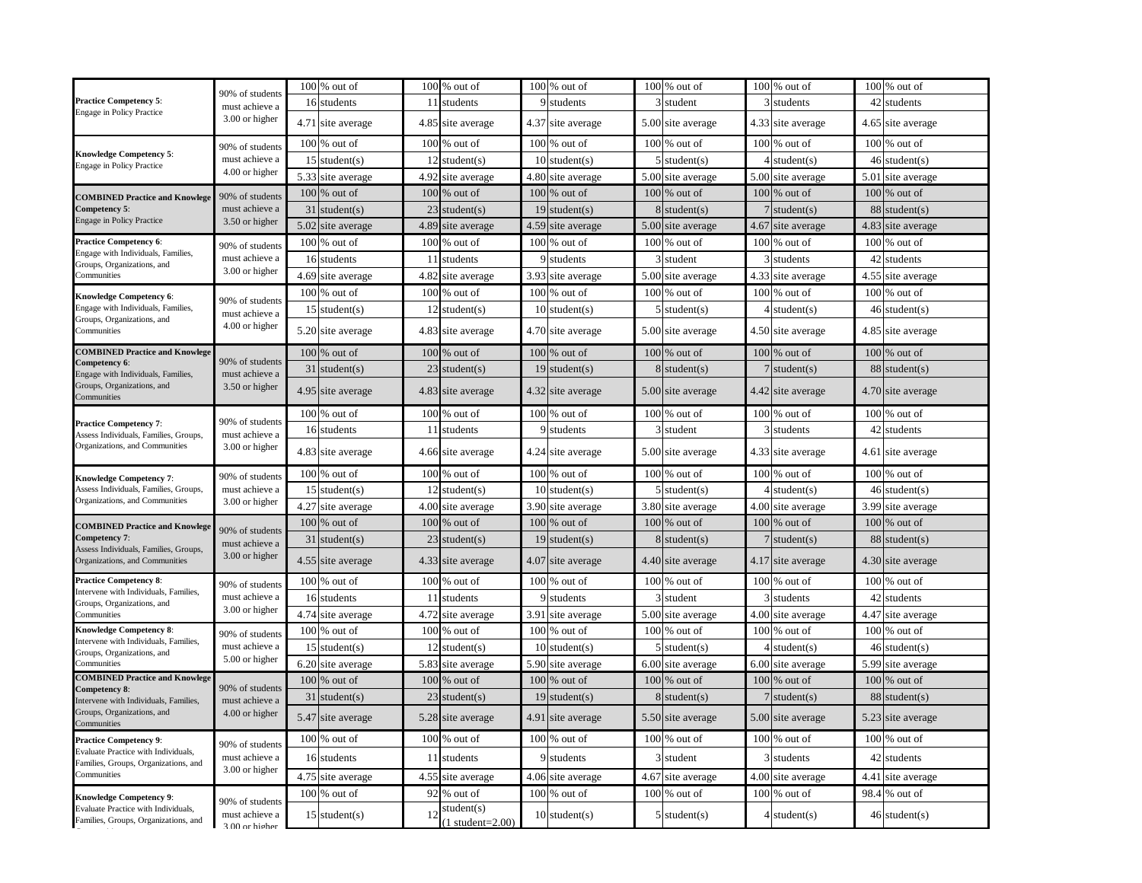|                                                                         | 90% of students                                     | $100\%$ out of       |      | 100 % out of          |      | 100 % out of      | $100\%$ out of    |      | $100\%$ out of         |                 | 100 % out of      |
|-------------------------------------------------------------------------|-----------------------------------------------------|----------------------|------|-----------------------|------|-------------------|-------------------|------|------------------------|-----------------|-------------------|
| <b>Practice Competency 5:</b>                                           | must achieve a<br>3.00 or higher                    | 16 students          | 11   | students              |      | 9 students        | 3 student         |      | students               | 42              | students          |
| <b>Engage in Policy Practice</b>                                        |                                                     | 4.71 site average    |      | 4.85 site average     |      | 4.37 site average | 5.00 site average |      | 4.33 site average      | 4.65            | site average      |
|                                                                         | 90% of students                                     | $100\%$ out of       |      | $100\%$ out of        |      | $100\%$ out of    | $100\%$ out of    |      | $100\%$ out of         |                 | $100\%$ out of    |
| <b>Knowledge Competency 5:</b><br><b>Engage in Policy Practice</b>      | must achieve a                                      | 15<br>student(s)     | 12   | student(s)            |      | $10$ student(s)   | $5$ student(s)    |      | student(s)             | 46              | student(s)        |
|                                                                         | 4.00 or higher                                      | 5.33<br>site average | 4.92 | site average          |      | 4.80 site average | 5.00 site average | 5.00 | site average           | 5.01            | site average      |
| <b>COMBINED Practice and Knowlege</b>                                   | 90% of students                                     | 100<br>% out of      | 100  | % out of              |      | $100\%$ out of    | $100\%$ out of    |      | $100\%$ out of         | 100             | % out of          |
| Competency 5:                                                           | must achieve a                                      | 31<br>student(s)     | 23   | student(s)            |      | $19$ student(s)   | student(s)        |      | student(s)             | 88              | student(s)        |
| Engage in Policy Practice                                               | 3.50 or higher                                      | 5.02<br>site average | 4.89 | site average          |      | 4.59 site average | 5.00 site average | 4.67 | site average           | 4.83            | site average      |
| <b>Practice Competency 6:</b>                                           | 90% of students                                     | $100\%$ out of       |      | $100\%$ out of        |      | $100\%$ out of    | $100\%$ out of    |      | $100\%$ out of         |                 | $100\%$ out of    |
| Engage with Individuals, Families,<br>Groups, Organizations, and        | must achieve a                                      | 16 students          | 11   | students              |      | 9 students        | 3 student         |      | students               | 42              | students          |
| Communities                                                             | 3.00 or higher                                      | 4.69<br>site average |      | 4.82 site average     |      | 3.93 site average | 5.00 site average |      | 4.33 site average      | 4.55            | site average      |
| Knowledge Competency 6:                                                 |                                                     | $100\%$ out of       |      | $100\%$ out of        |      | 100 % out of      | $100\%$ out of    |      | $100\%$ out of         |                 | $100\%$ out of    |
| Engage with Individuals, Families,                                      | 90% of students                                     | $15$ student(s)      |      | $12$ student(s)       |      | $10$ student(s)   | $5$ student(s)    |      | student(s)             | 46              | student(s)        |
| Groups, Organizations, and                                              | must achieve a<br>4.00 or higher                    |                      |      |                       |      |                   |                   |      |                        |                 |                   |
| Communities                                                             |                                                     | 5.20 site average    |      | 4.83 site average     |      | 4.70 site average | 5.00 site average |      | 4.50 site average      | 4.85            | site average      |
| <b>COMBINED Practice and Knowlege</b><br>Competency 6:                  | 90% of students                                     | $100\%$ out of       |      | $100\%$ out of        |      | $100\%$ out of    | $100\%$ out of    |      | $100\%$ out of         |                 | $100\%$ out of    |
| Engage with Individuals, Families,                                      | must achieve a                                      | 31<br>student(s)     |      | $23$ student(s)       |      | $19$ student(s)   | $8 \times (s)$    |      | student(s)             | 88              | student(s)        |
| Groups, Organizations, and<br>Communities                               | 3.50 or higher                                      | 4.95 site average    |      | 4.83 site average     |      | 4.32 site average | 5.00 site average |      | 4.42 site average      |                 | 4.70 site average |
|                                                                         | 90% of students                                     | $100\%$ out of       |      | $100\%$ out of        |      | $100\%$ out of    | $100\%$ out of    |      | $100\%$ out of         |                 | $100\%$ out of    |
| <b>Practice Competency 7:</b><br>Assess Individuals, Families, Groups,  | must achieve a                                      | 16 students          | 11   | students              |      | 9 students        | 3 student         |      | students               | 42 <sub>l</sub> | students          |
| Organizations, and Communities                                          | 3.00 or higher                                      | 4.83 site average    |      | 4.66 site average     |      | 4.24 site average | 5.00 site average |      | 4.33 site average      | 4.61            | site average      |
| <b>Knowledge Competency 7:</b>                                          | 90% of students<br>must achieve a                   | $100\%$ out of       |      | $100\%$ out of        |      | $100\%$ out of    | $100\%$ out of    |      | $100\%$ out of         |                 | $100\%$ out of    |
| Assess Individuals, Families, Groups,                                   |                                                     | 15<br>student(s)     | 12   | student(s)            |      | $10$ student(s)   | student(s)        |      | student(s)             | 46              | student(s)        |
| Organizations, and Communities                                          | 3.00 or higher                                      | 4.27<br>site average | 4.00 | site average          |      | 3.90 site average | 3.80 site average | 4.00 | site average           | 3.99            | site average      |
| <b>COMBINED Practice and Knowlege</b>                                   | 90% of students                                     | 100 % out of         |      | $100\%$ out of        |      | 100 % out of      | 100 % out of      |      | $100\%$ out of         | 100             | % out of          |
| Competency 7:                                                           | must achieve a                                      | 31<br>student(s)     | 23   | student(s)            |      | $19$ student(s)   | student $(s)$     |      | student(s)             | 88              | student(s)        |
| Assess Individuals, Families, Groups,<br>Organizations, and Communities | 3.00 or higher                                      | 4.55 site average    |      | 4.33 site average     |      | 4.07 site average | 4.40 site average |      | 4.17 site average      | 4.30            | site average      |
| <b>Practice Competency 8:</b>                                           | 90% of students                                     | $100\%$ out of       |      | $100\%$ out of        |      | $100\%$ out of    | $100\%$ out of    |      | $100\%$ out of         |                 | $100\%$ out of    |
| Intervene with Individuals, Families,<br>Groups, Organizations, and     | must achieve a                                      | 16<br>students       | 11   | students              |      | students          | student           |      | students               | 42              | students          |
| Communities                                                             | 3.00 or higher                                      | 4.74 site average    |      | 4.72 site average     | 3.91 | site average      | 5.00 site average |      | 4.00 site average      | 4.47            | site average      |
| <b>Knowledge Competency 8:</b>                                          | 90% of students                                     | $100\%$ out of       |      | $100\%$ out of        |      | $100\%$ out of    | $100\%$ out of    |      | $100\%$ out of         |                 | $100\%$ out of    |
| Intervene with Individuals, Families,<br>Groups, Organizations, and     | must achieve a                                      | 15<br>student(s)     |      | $12$ student(s)       |      | $10$ student(s)   | $5$ student(s)    |      | student(s)             | 46              | student(s)        |
| Communities                                                             | 5.00 or higher                                      | 6.20 site average    |      | 5.83 site average     |      | 5.90 site average | 6.00 site average |      | 6.00 site average      | 5.99            | site average      |
| <b>COMBINED Practice and Knowlege</b>                                   |                                                     | 100<br>% out of      | 100  | % out of              |      | $100\%$ out of    | $100\%$ out of    |      | $100\%$ out of         | 100             | % out of          |
| Competency 8:<br>Intervene with Individuals, Families,                  | 90% of students<br>must achieve a<br>4.00 or higher | 31<br>student(s)     | 23   | student(s)            |      | $19$ student(s)   | $8 \times (s)$    |      | student(s)             | 88              | student(s)        |
| Groups, Organizations, and<br>Communities                               |                                                     | 5.47 site average    |      | 5.28 site average     |      | 4.91 site average | 5.50 site average |      | 5.00 site average      |                 | 5.23 site average |
| <b>Practice Competency 9:</b>                                           |                                                     | $100$ % out of       |      | $100$ % out of $\,$   |      | 100 % out of      | $100$ % out of    |      | $100$ % out of         |                 | $100\%$ out of    |
| Evaluate Practice with Individuals,                                     | 90% of students<br>must achieve a                   | 16 students          | 11   | students              |      | 9 students        | 3 student         |      | students               | 42              | students          |
| Families, Groups, Organizations, and<br>Communities                     | 3.00 or higher                                      | 4.75 site average    |      | 4.55 site average     |      | 4.06 site average | 4.67 site average |      | 4.00 site average      |                 | 4.41 site average |
|                                                                         |                                                     | $100\%$ out of       |      | 92 % out of           |      | $100\%$ out of    | 100 % out of      |      | 100 % out of           |                 | 98.4 % out of     |
| <b>Knowledge Competency 9:</b><br>Evaluate Practice with Individuals,   | 90% of students                                     |                      |      | student(s)            |      |                   |                   |      |                        |                 |                   |
| Families, Groups, Organizations, and                                    | must achieve a<br>3.00 or higher                    | $15$ student(s)      | 12   | $(1$ student= $2.00)$ |      | $10$ student(s)   | $5$ student(s)    |      | $4 \text{ student}(s)$ |                 | $46$ student(s)   |